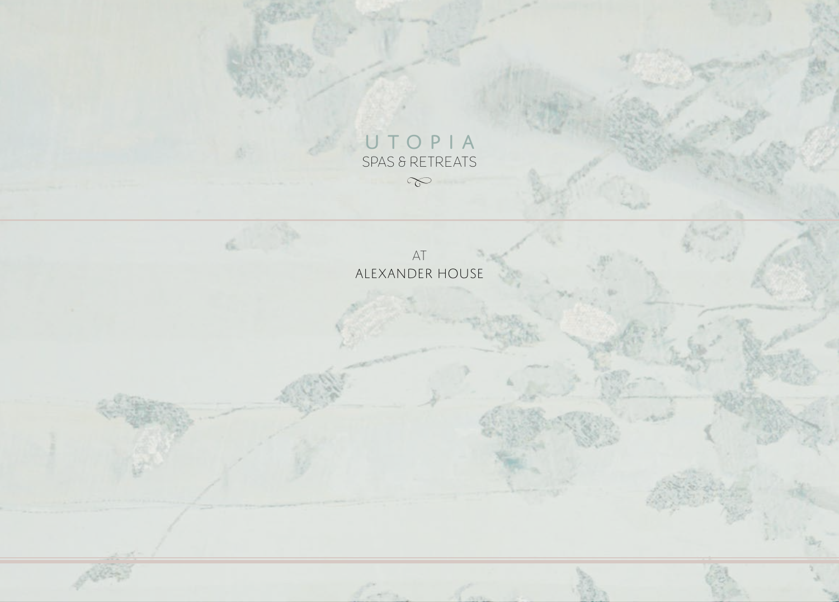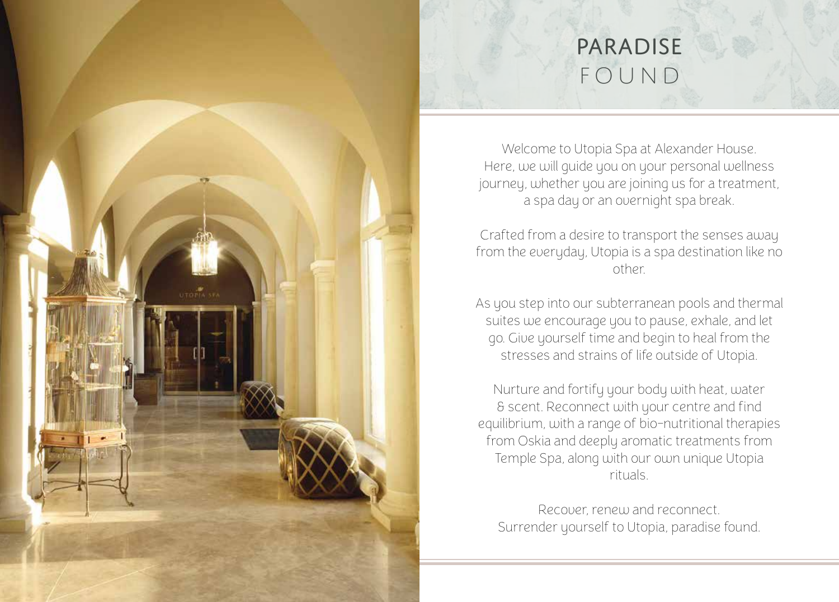## PARADISE FOUND

Welcome to Utopia Spa at Alexander House. Here, we will guide you on your personal wellness journey, whether you are joining us for a treatment, a spa day or an overnight spa break.

Crafted from a desire to transport the senses away from the everyday, Utopia is a spa destination like no other.

As you step into our subterranean pools and thermal suites we encourage you to pause, exhale, and let go. Give yourself time and begin to heal from the stresses and strains of life outside of Utopia.

Nurture and fortify your body with heat, water & scent. Reconnect with your centre and find equilibrium, with a range of bio-nutritional therapies from Oskia and deeply aromatic treatments from Temple Spa, along with our own unique Utopia rituals.

Recover, renew and reconnect. Surrender yourself to Utopia, paradise found.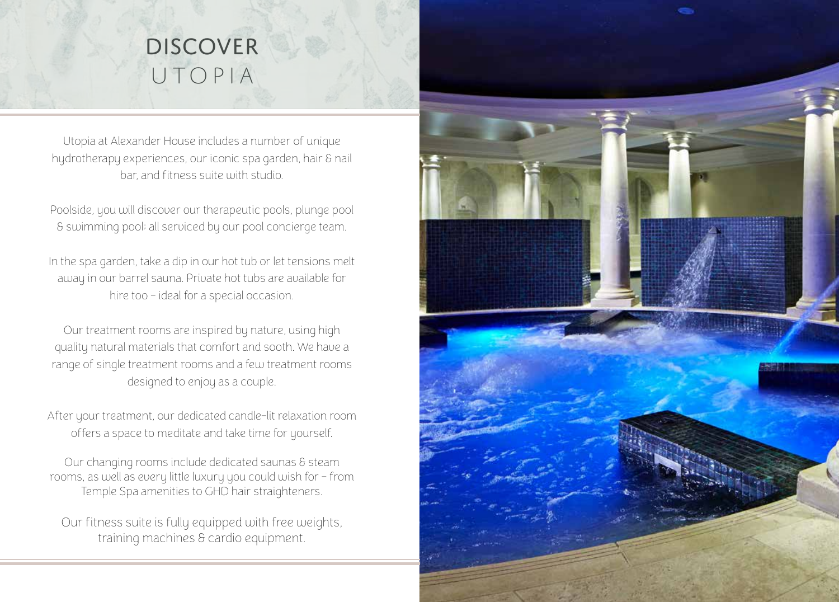### **DISCOVER** utopia

Utopia at Alexander House includes a number of unique hydrotherapy experiences, our iconic spa garden, hair & nail bar, and fitness suite with studio.

Poolside, you will discover our therapeutic pools, plunge pool & swimming pool; all serviced by our pool concierge team.

In the spa garden, take a dip in our hot tub or let tensions melt away in our barrel sauna. Private hot tubs are available for hire too - ideal for a special occasion.

Our treatment rooms are inspired by nature, using high quality natural materials that comfort and sooth. We have a range of single treatment rooms and a few treatment rooms designed to enjoy as a couple.

After your treatment, our dedicated candle-lit relaxation room offers a space to meditate and take time for yourself.

Our changing rooms include dedicated saunas & steam rooms, as well as every little luxury you could wish for - from Temple Spa amenities to GHD hair straighteners.

Our fitness suite is fully equipped with free weights, training machines & cardio equipment.

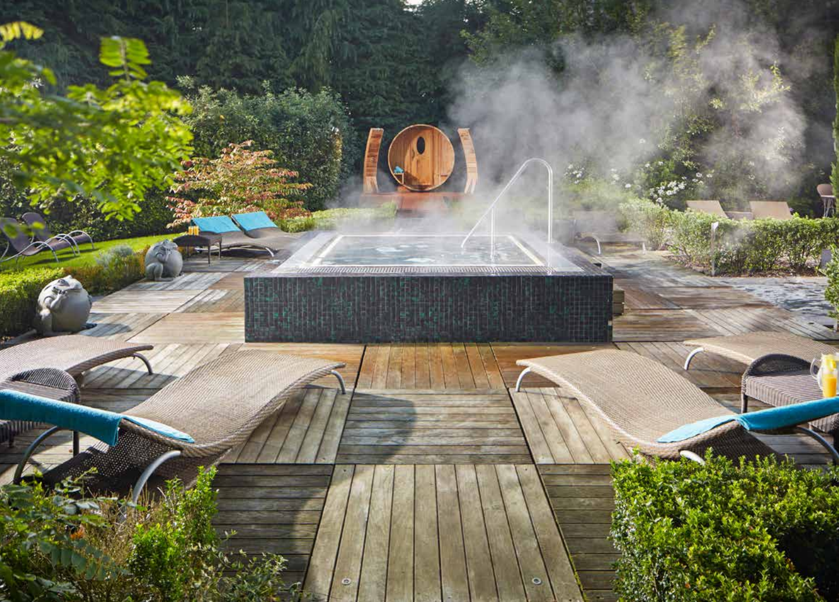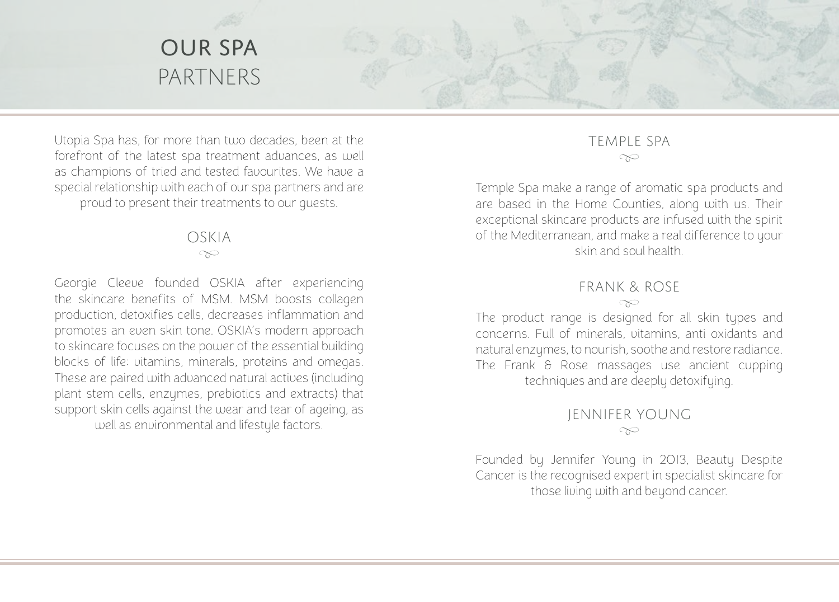

Utopia Spa has, for more than two decades, been at the forefront of the latest spa treatment advances, as well as champions of tried and tested favourites. We have a special relationship with each of our spa partners and are proud to present their treatments to our guests.

### OSKIA  $\infty$

Georgie Cleeve founded OSKIA after experiencing the skincare benefits of MSM. MSM boosts collagen production, detoxifies cells, decreases inflammation and promotes an even skin tone. OSKIA's modern approach to skincare focuses on the power of the essential building blocks of life: vitamins, minerals, proteins and omegas. These are paired with advanced natural actives (including plant stem cells, enzymes, prebiotics and extracts) that support skin cells against the wear and tear of ageing, as well as environmental and lifestyle factors.

TEMPLE SPA  $\infty$ 

Temple Spa make a range of aromatic spa products and are based in the Home Counties, along with us. Their exceptional skincare products are infused with the spirit of the Mediterranean, and make a real difference to your skin and soul health.

### FRANK & ROSE

 $\infty$ 

The product range is designed for all skin types and concerns. Full of minerals, vitamins, anti oxidants and natural enzymes, to nourish, soothe and restore radiance. The Frank & Rose massages use ancient cupping techniques and are deeply detoxifying.

### JENNIFER YOUNG  $\approx$

Founded by Jennifer Young in 2013, Beauty Despite Cancer is the recognised expert in specialist skincare for those living with and beyond cancer.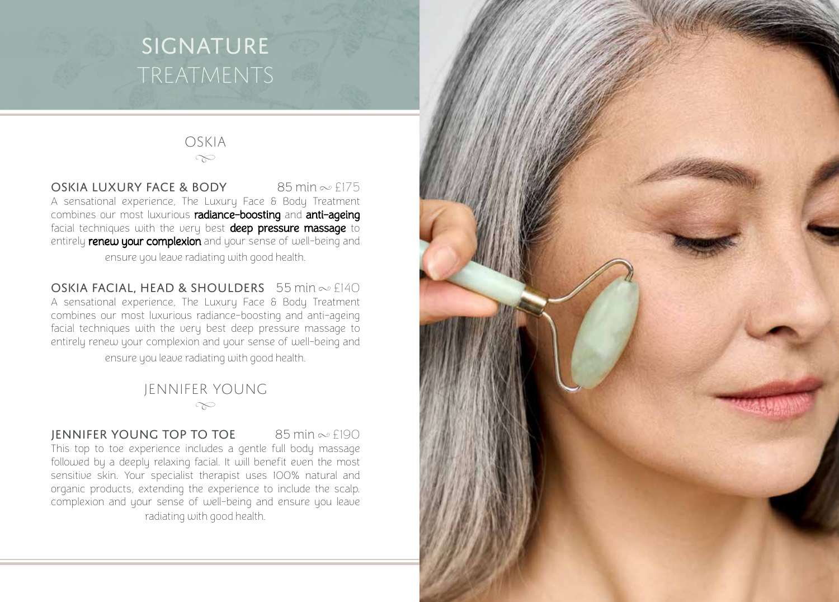## SICNATURE **TREATMENTS**

### OSKIA  $\infty$

OSKIA LUXURY FACE & BODY 85 min  $\infty$  £175 A sensational experience, The Luxury Face & Body Treatment combines our most luxurious radiance-boosting and anti-ageing facial techniques with the very best deep pressure massage to entirely **renew your complexion** and your sense of well-being and ensure you leave radiating with good health.

OSKIA FACIAL, HEAD & SHOULDERS  $55$  min  $\infty$  £140 A sensational experience, The Luxury Face & Body Treatment combines our most luxurious radiance-boosting and anti-ageing facial techniques with the very best deep pressure massage to entirely renew your complexion and your sense of well-being and ensure you leave radiating with good health.

### JENNIFER YOUNG  $\infty$

### **JENNIFER YOUNG TOP TO TOE**  $85 \text{ min} \approx £190$

This top to toe experience includes a gentle full body massage followed by a deeply relaxing facial. It will benefit even the most sensitive skin. Your specialist therapist uses 100% natural and organic products, extending the experience to include the scalp. complexion and your sense of well-being and ensure you leave radiating with good health.

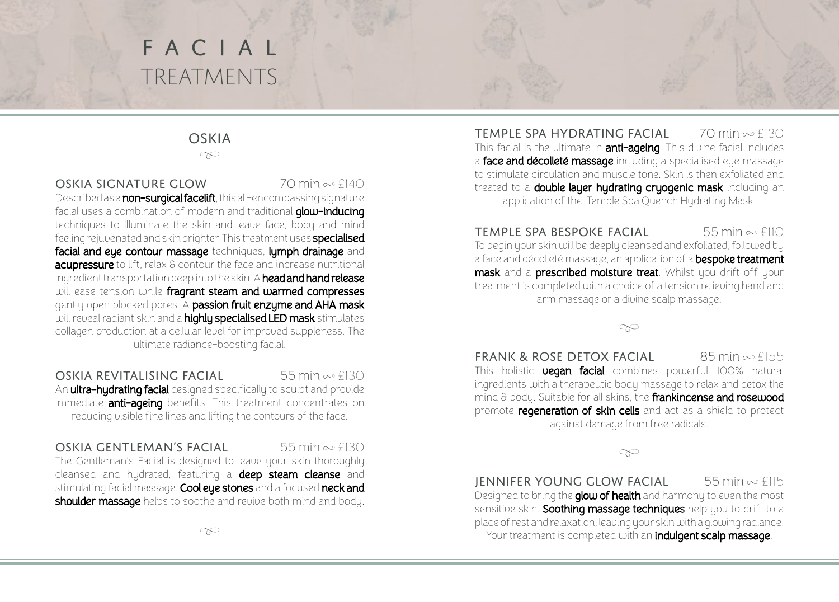### facial **TREATMENTS**

### OSKIA  $\infty$

### OSKIA SIGNATURE GLOW  $70 \text{ min} \approx f140$

Described as a non-surgical facelift, this all-encompassing signature facial uses a combination of modern and traditional **glow-inducing** techniques to illuminate the skin and leave face, body and mind feeling rejuvenated and skin brighter. This treatment uses specialised facial and eye contour massage techniques, lymph drainage and **acupressure** to lift, relax & contour the face and increase nutritional ingredient transportation deep into the skin. A **head and hand release** will ease tension while fragrant steam and warmed compresses gently open blocked pores. A **passion fruit enzume and AHA mask** will reveal radiant skin and a **highly specialised LED mask** stimulates collagen production at a cellular level for improved suppleness. The ultimate radiance-boosting facial.

OSKIA REVITALISING FACIAL 55 min  $\infty$  £130 An **ultra-hydrating facial** designed specifically to sculpt and provide immediate **anti-ageing** benefits. This treatment concentrates on reducing visible fine lines and lifting the contours of the face.

OSKIA GENTLEMAN'S FACIAL 55 min  $\infty$  £130 The Gentleman's Facial is designed to leave your skin thoroughly cleansed and hydrated, featuring a **deep steam cleanse** and stimulating facial massage. Cool eye stones and a focused neck and shoulder massage helps to soothe and revive both mind and body.

**TEMPLE SPA HYDRATING FACIAL**  $\rightarrow$  70 min  $\sim$  £130 This facial is the ultimate in **anti-ageing**. This divine facial includes a **face and décolleté massage** including a specialised eye massage to stimulate circulation and muscle tone. Skin is then exfoliated and treated to a **double layer hydrating cryogenic mask** including an application of the Temple Spa Quench Hydrating Mask.

**TEMPLE SPA RESPOKE FACIAL 55 min**  $\infty$  **£110** To begin your skin will be deeply cleansed and exfoliated, followed by a face and décolleté massage, an application of a **bespoke treatment** mask and a prescribed moisture treat. Whilst you drift off your treatment is completed with a choice of a tension relieving hand and arm massage or a divine scalp massage.

 $\infty$ 

**FRANK & ROSE DETOX FACIAL** 85 min  $\infty$  £155 This holistic **vegan facial** combines powerful 100% natural ingredients with a therapeutic body massage to relax and detox the mind & body. Suitable for all skins, the **frankincense and rosewood** promote **regeneration of skin cells** and act as a shield to protect against damage from free radicals.

 $\infty$ 

**JENNIFER YOUNG GLOW FACIAL** 55 min  $\infty$  £115 Designed to bring the glow of health and harmony to even the most sensitive skin. Soothing massage techniques help you to drift to a place of rest and relaxation, leaving your skin with a glowing radiance. Your treatment is completed with an **indulgent scalp massage**.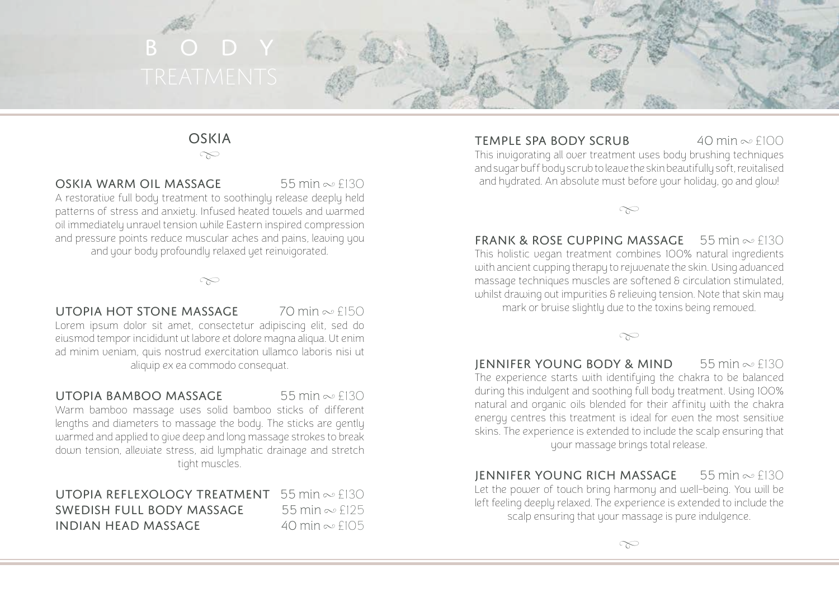

### OSKIA  $\infty$

#### **OSKIA WARM OIL MASSAGE** 55 min  $\infty$  £130

A restorative full body treatment to soothingly release deeply held patterns of stress and anxiety. Infused heated towels and warmed oil immediately unravel tension while Eastern inspired compression and pressure points reduce muscular aches and pains, leaving you and your body profoundly relaxed yet reinvigorated.

 $\infty$ 

### UTOPIA HOT STONE MASSAGE  $\overline{70}$  min  $\infty$  £150

Lorem ipsum dolor sit amet, consectetur adipiscing elit, sed do eiusmod tempor incididunt ut labore et dolore magna aliqua. Ut enim ad minim veniam, quis nostrud exercitation ullamco laboris nisi ut aliquip ex ea commodo consequat.

### UTOPIA BAMBOO MASSAGE 55 min  $\infty$  £130

Warm bamboo massage uses solid bamboo sticks of different lengths and diameters to massage the body. The sticks are gently warmed and applied to give deep and long massage strokes to break down tension, alleviate stress, aid lymphatic drainage and stretch tight muscles.

| <b>UTOPIA REFLEXOLOGY TREATMENT</b> $55$ min $\infty$ £130 |                      |
|------------------------------------------------------------|----------------------|
| SWEDISH FULL BODY MASSAGE                                  | 55 min $\infty$ £125 |
| <b>INDIAN HEAD MASSAGE</b>                                 | 40 min $\infty$ £105 |

### **TEMPLE SPA BODY SCRUB** 40 min  $\infty$  £100

This invigorating all over treatment uses body brushing techniques and sugar buff body scrub to leave the skin beautifully soft, revitalised and hydrated. An absolute must before your holiday, go and glow!

 $\infty$ 

**FRANK & ROSE CUPPING MASSAGE** 55 min  $\infty$  £130 This holistic vegan treatment combines 100% natural ingredients with ancient cupping therapy to rejuvenate the skin. Using advanced massage techniques muscles are softened & circulation stimulated, whilst drawing out impurities & relieving tension. Note that skin may mark or bruise slightly due to the toxins being removed.

 $\infty$ 

**JENNIFER YOUNG BODY & MIND** 55 min  $\infty$  £130 The experience starts with identifying the chakra to be balanced during this indulgent and soothing full body treatment. Using 100% natural and organic oils blended for their affinity with the chakra energy centres this treatment is ideal for even the most sensitive skins. The experience is extended to include the scalp ensuring that your massage brings total release.

**JENNIFER YOUNG RICH MASSAGE** 55 min  $\sim$  £130 Let the power of touch bring harmony and well-being. You will be left feeling deeply relaxed. The experience is extended to include the scalp ensuring that your massage is pure indulgence.

 $\infty$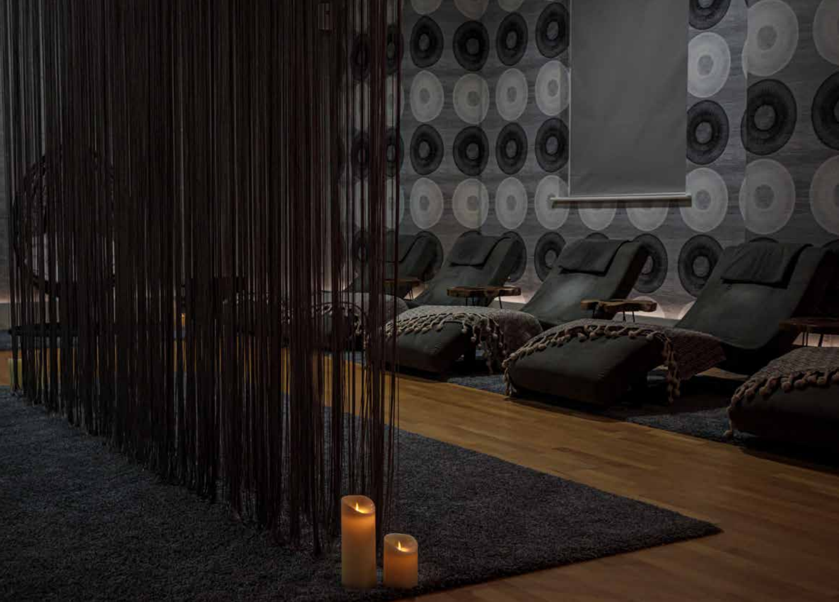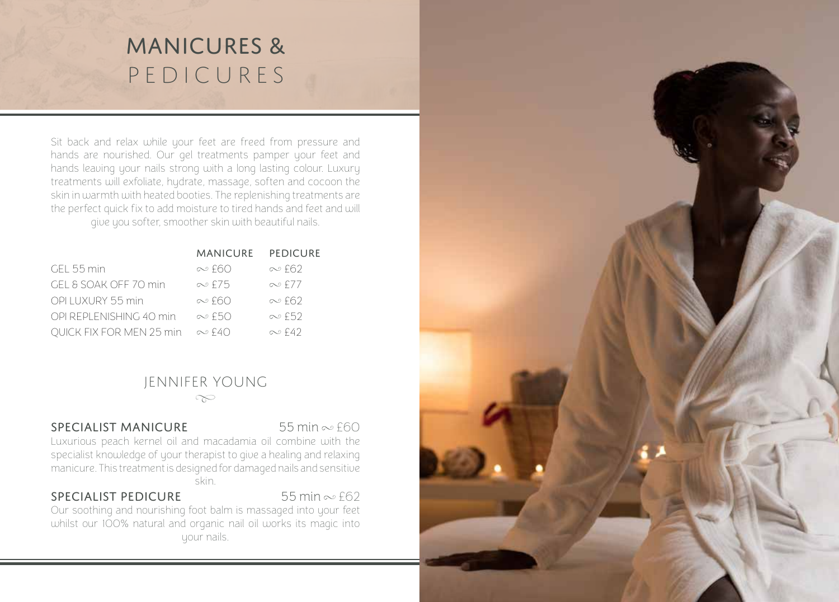## MANICURES & PEDICURES

Sit back and relax while your feet are freed from pressure and hands are nourished. Our gel treatments pamper your feet and hands leaving your nails strong with a long lasting colour. Luxury treatments will exfoliate, hydrate, massage, soften and cocoon the skin in warmth with heated booties. The replenishing treatments are the perfect quick fix to add moisture to tired hands and feet and will give you softer, smoother skin with beautiful nails.

|                                 | <b>MANICURE</b> | <b>PEDICURE</b> |
|---------------------------------|-----------------|-----------------|
| GEL 55 min                      | $\infty$ f60    | ∾ f62           |
| GEL & SOAK OFF 70 min           | $\infty$ f75    | $\infty$ f77    |
| OPI LUXURY 55 min               | $\infty$ f60    | $\infty$ f62    |
| OPI REPLENISHING 40 min         | $\infty$ f50    | $\infty$ f52    |
| <b>OUICK FIX FOR MEN 25 min</b> | $\infty$ f40    | $\infty$ f42    |

### JENNIFER YOUNG  $\infty$

### **SPECIALIST MANICURE** 55 min  $\sim$  £60

Luxurious peach kernel oil and macadamia oil combine with the specialist knowledge of your therapist to give a healing and relaxing manicure. This treatment is designed for damaged nails and sensitive skin.

### **SPECIALIST PEDICURE** 55 min  $\sim$  £62

Our soothing and nourishing foot balm is massaged into your feet whilst our 100% natural and organic nail oil works its magic into your nails.

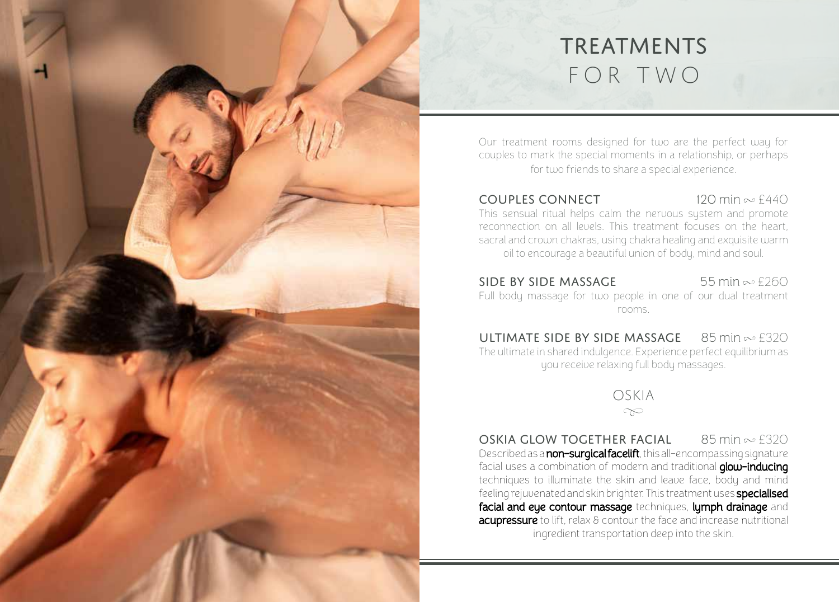## **TREATMENTS** for two

Our treatment rooms designed for two are the perfect way for couples to mark the special moments in a relationship, or perhaps for two friends to share a special experience.

### COUPLES CONNECT  $120 \text{ min} \approx 4440$

This sensual ritual helps calm the nervous system and promote reconnection on all levels. This treatment focuses on the heart sacral and crown chakras, using chakra healing and exquisite warm oil to encourage a beautiful union of body, mind and soul.

### SIDE BY SIDE MASSAGE  $55 \text{ min} \approx £260$

Full body massage for two people in one of our dual treatment rooms.

### ULTIMATE SIDE BY SIDE MASSAGE  $85 \text{ min} \approx 6320$

The ultimate in shared indulgence. Experience perfect equilibrium as you receive relaxing full body massages.

> OSKIA  $\infty$

### OSKIA GLOW TOGETHER FACIAL  $85 \text{ min} \approx 6320$ Described as a non-surgical facelift, this all-encompassing signature facial uses a combination of modern and traditional **glow-inducing** techniques to illuminate the skin and leave face, body and mind feeling rejuvenated and skin brighter. This treatment uses specialised facial and eye contour massage techniques, lymph drainage and acupressure to lift, relax & contour the face and increase nutritional ingredient transportation deep into the skin.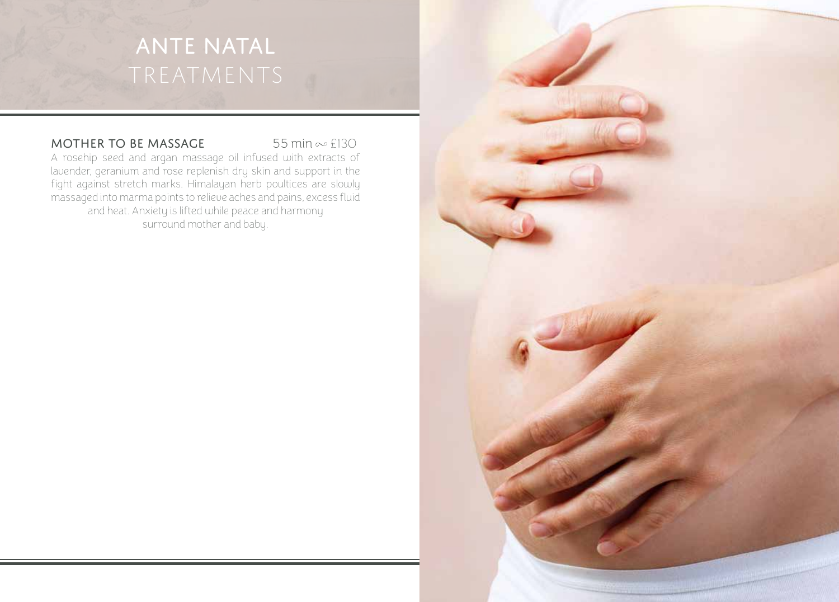# ante natal

### **MOTHER TO BE MASSAGE** 55 min  $\infty$  £130

A rosehip seed and argan massage oil infused with extracts of lavender, geranium and rose replenish dry skin and support in the fight against stretch marks. Himalayan herb poultices are slowly massaged into marma points to relieve aches and pains, excess fluid and heat. Anxiety is lifted while peace and harmony surround mother and baby.

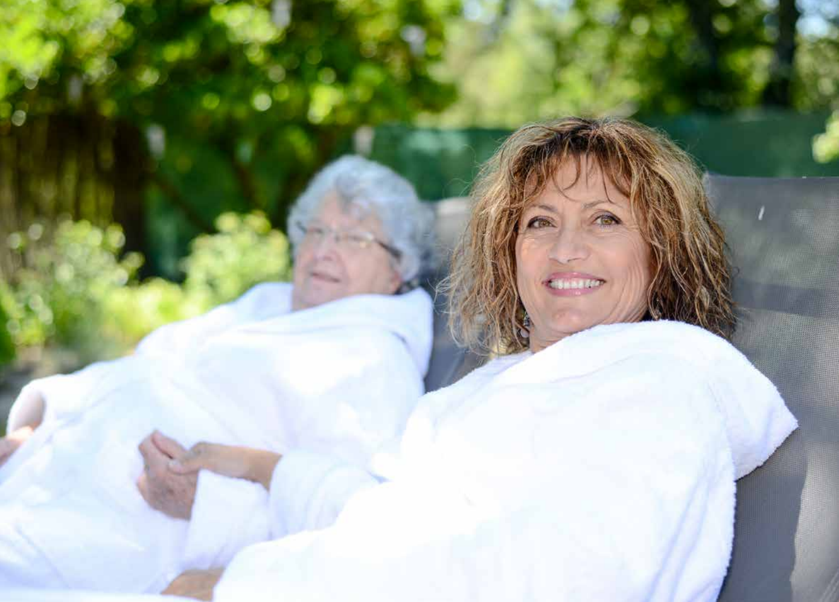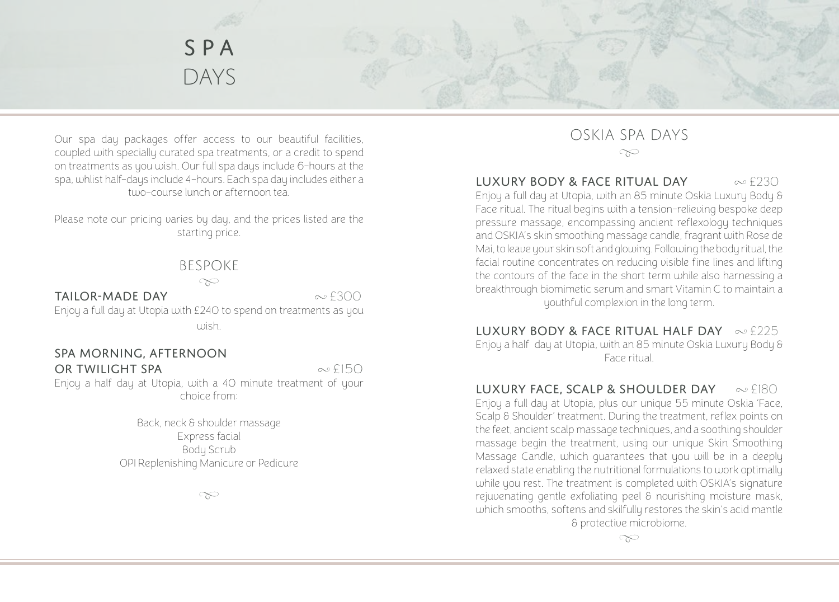SPA DAYS

Our spa day packages offer access to our beautiful facilities, coupled with specially curated spa treatments, or a credit to spend on treatments as you wish. Our full spa days include 6-hours at the spa, whlist half-days include 4-hours. Each spa day includes either a two-course lunch or afternoon tea.

Please note our pricing varies by day, and the prices listed are the starting price.

### $BFSPOKF$  $\infty$

TAILOR-MADE DAY  $\sim$  £300

Enjoy a full day at Utopia with £240 to spend on treatments as you wish.

### SPA MORNINg, afternoon OR TWILIGHT SPA  $\sim$  £150

Enjoy a half day at Utopia, with a 40 minute treatment of your choice from:

> Back, neck & shoulder massage Express facial Body Scrub OPI Replenishing Manicure or Pedicure

> > $\infty$

### OSKIA SPA DAYS  $\infty$

### LUXURY BODY & FACE RITUAL DAY  $\sim$  £230

Enjoy a full day at Utopia, with an 85 minute Oskia Luxury Body & Face ritual. The ritual begins with a tension-relieving bespoke deep pressure massage, encompassing ancient reflexology techniques and OSKIA's skin smoothing massage candle, fragrant with Rose de Mai, to leave your skin soft and glowing. Following the body ritual, the facial routine concentrates on reducing visible fine lines and lifting the contours of the face in the short term while also harnessing a breakthrough biomimetic serum and smart Vitamin C to maintain a youthful complexion in the long term.

### LUXURY BODY & FACE RITUAL HALF DAY  $\infty$  £225

Enjoy a half day at Utopia, with an 85 minute Oskia Luxury Body & Face ritual.

### LUXURY FACE, SCALP & SHOULDER DAY  $\sim$  £180

Enjoy a full day at Utopia, plus our unique 55 minute Oskia 'Face, Scalp & Shoulder' treatment. During the treatment, reflex points on the feet, ancient scalp massage techniques, and a soothing shoulder massage begin the treatment, using our unique Skin Smoothing Massage Candle, which guarantees that you will be in a deeply relaxed state enabling the nutritional formulations to work optimally while you rest. The treatment is completed with OSKIA's signature rejuvenating gentle exfoliating peel & nourishing moisture mask, which smooths, softens and skilfully restores the skin's acid mantle & protective microbiome.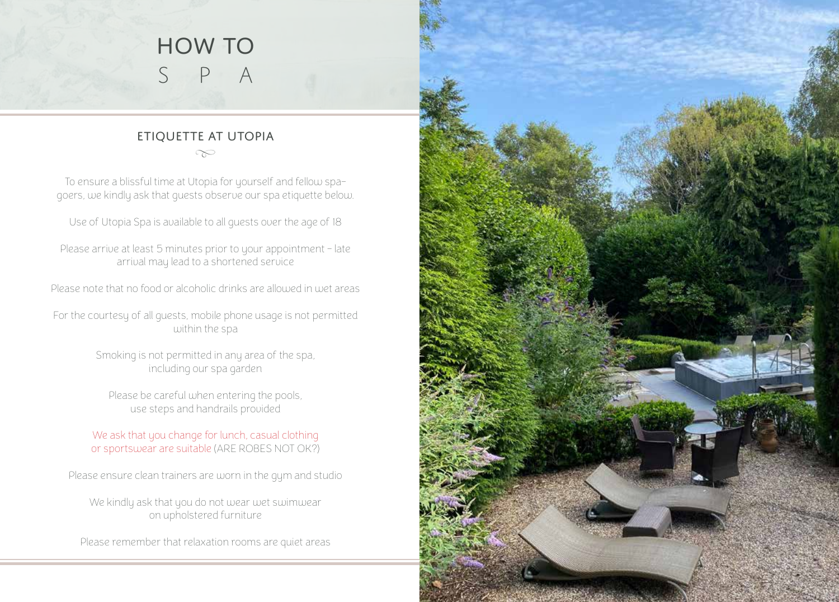## HOW TO SPA

### ETIQUETTE AT UTOPIA

 $\infty$ 

To ensure a blissful time at Utopia for yourself and fellow spagoers, we kindly ask that guests observe our spa etiquette below.

Use of Utopia Spa is available to all guests over the age of 18

Please arrive at least 5 minutes prior to your appointment - late arrival may lead to a shortened service

Please note that no food or alcoholic drinks are allowed in wet areas

For the courtesy of all guests, mobile phone usage is not permitted within the spa

> Smoking is not permitted in any area of the spa, including our spa garden

Please be careful when entering the pools, use steps and handrails provided

We ask that you change for lunch, casual clothing or sportswear are suitable (ARE ROBES NOT OK?)

Please ensure clean trainers are worn in the gym and studio

We kindly ask that you do not wear wet swimwear on upholstered furniture

Please remember that relaxation rooms are quiet areas

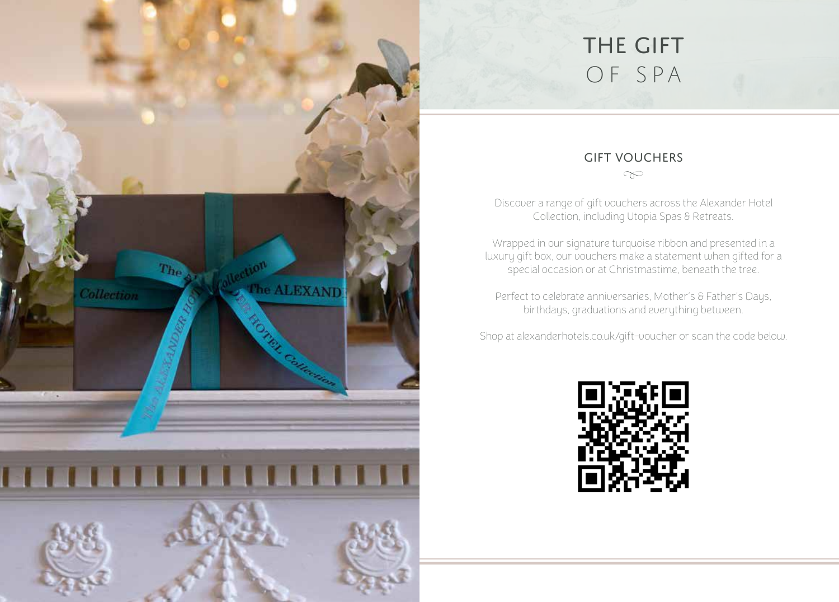

## THE GIFT of SPA

### GIFT VOUCHERS  $\infty$

Discover a range of gift vouchers across the Alexander Hotel Collection, including Utopia Spas & Retreats.

Wrapped in our signature turquoise ribbon and presented in a luxury gift box, our vouchers make a statement when gifted for a special occasion or at Christmastime, beneath the tree.

Perfect to celebrate anniversaries, Mother's & Father's Days, birthdays, graduations and everything between.

Shop at alexanderhotels.co.uk/gift-voucher or scan the code below.